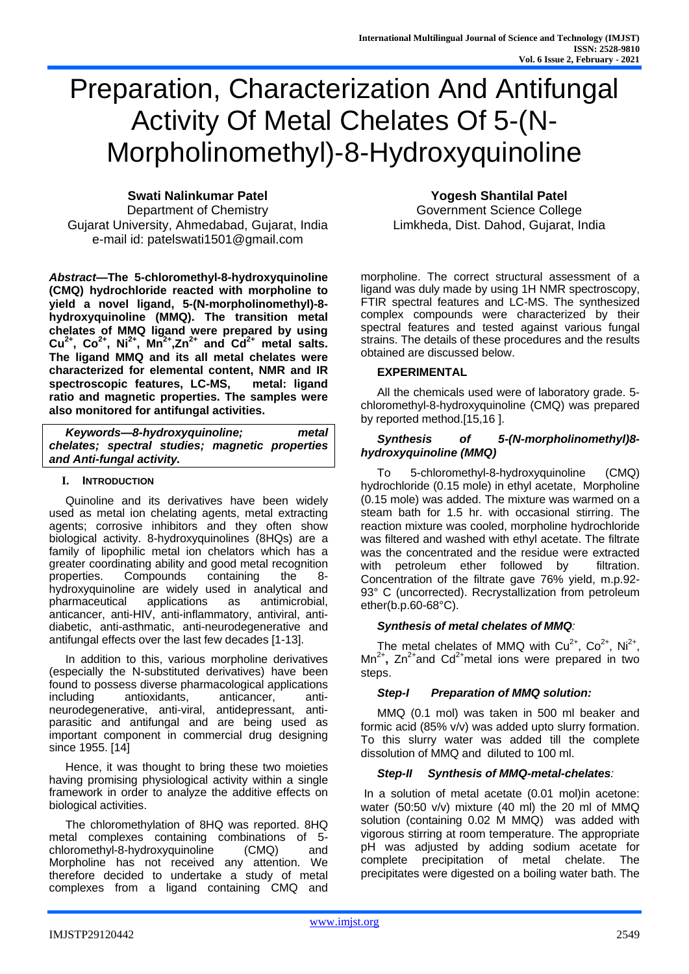# Preparation, Characterization And Antifungal Activity Of Metal Chelates Of 5-(N-Morpholinomethyl)-8-Hydroxyquinoline

Department of Chemistry Government Science College Gujarat University, Ahmedabad, Gujarat, India Limkheda, Dist. Dahod, Gujarat, India e-mail id: patelswati1501@gmail.com

*Abstract***—The 5-chloromethyl-8-hydroxyquinoline (CMQ) hydrochloride reacted with morpholine to yield a novel ligand, 5-(N-morpholinomethyl)-8 hydroxyquinoline (MMQ). The transition metal chelates of MMQ ligand were prepared by using**   $Cu^{2+}$ ,  $Co^{2+}$ ,  $Ni^{2+}$ ,  $Mn^{2+}$ ,  $Zn^{2+}$  and  $Cd^{2+}$  metal salts. **The ligand MMQ and its all metal chelates were characterized for elemental content, NMR and IR spectroscopic features, LC-MS, metal: ligand ratio and magnetic properties. The samples were also monitored for antifungal activities.**

| Keywords-8-hydroxyquinoline;                    | metal |  |  |  |  |
|-------------------------------------------------|-------|--|--|--|--|
| chelates; spectral studies; magnetic properties |       |  |  |  |  |
| and Anti-fungal activity.                       |       |  |  |  |  |

#### **I. INTRODUCTION**

Quinoline and its derivatives have been widely used as metal ion chelating agents, metal extracting agents; corrosive inhibitors and they often show biological activity. 8-hydroxyquinolines (8HQs) are a family of lipophilic metal ion chelators which has a greater coordinating ability and good metal recognition properties. Compounds containing the 8 hydroxyquinoline are widely used in analytical and pharmaceutical applications as antimicrobial, pharmaceutical applications as antimicrobial, anticancer, anti-HIV, anti-inflammatory, antiviral, antidiabetic, anti-asthmatic, anti-neurodegenerative and antifungal effects over the last few decades [1-13].

In addition to this, various morpholine derivatives (especially the N-substituted derivatives) have been found to possess diverse pharmacological applications including antioxidants, anticancer, antineurodegenerative, anti-viral, antidepressant, antiparasitic and antifungal and are being used as important component in commercial drug designing since 1955. [14]

Hence, it was thought to bring these two moieties having promising physiological activity within a single framework in order to analyze the additive effects on biological activities.

The chloromethylation of 8HQ was reported. 8HQ metal complexes containing combinations of 5 chloromethyl-8-hydroxyquinoline (CMQ) and Morpholine has not received any attention. We therefore decided to undertake a study of metal complexes from a ligand containing CMQ and

**Swati Nalinkumar Patel Yogesh Shantilal Patel**

morpholine. The correct structural assessment of a ligand was duly made by using 1H NMR spectroscopy, FTIR spectral features and LC-MS. The synthesized complex compounds were characterized by their spectral features and tested against various fungal strains. The details of these procedures and the results obtained are discussed below.

# **EXPERIMENTAL**

All the chemicals used were of laboratory grade. 5 chloromethyl-8-hydroxyquinoline (CMQ) was prepared by reported method.[15,16 ].

# *Synthesis of 5-(N-morpholinomethyl)8 hydroxyquinoline (MMQ)*

To 5-chloromethyl-8-hydroxyquinoline (CMQ) hydrochloride (0.15 mole) in ethyl acetate, Morpholine (0.15 mole) was added. The mixture was warmed on a steam bath for 1.5 hr. with occasional stirring. The reaction mixture was cooled, morpholine hydrochloride was filtered and washed with ethyl acetate. The filtrate was the concentrated and the residue were extracted with petroleum ether followed by filtration. Concentration of the filtrate gave 76% yield, m.p.92- 93° C (uncorrected). Recrystallization from petroleum ether(b.p.60-68°C).

# *Synthesis of metal chelates of MMQ:*

The metal chelates of MMQ with  $Cu^{2+}$ ,  $Co^{2+}$ , Ni<sup>2+</sup>, Mn<sup>2+</sup>, Zn<sup>2+</sup>and Cd<sup>2+</sup>metal ions were prepared in two steps.

# *Step-I Preparation of MMQ solution:*

MMQ (0.1 mol) was taken in 500 ml beaker and formic acid (85% v/v) was added upto slurry formation. To this slurry water was added till the complete dissolution of MMQ and diluted to 100 ml.

# *Step-II Synthesis of MMQ-metal-chelates:*

In a solution of metal acetate (0.01 mol)in acetone: water (50:50 v/v) mixture (40 ml) the 20 ml of MMQ solution (containing 0.02 M MMQ) was added with vigorous stirring at room temperature. The appropriate pH was adjusted by adding sodium acetate for complete precipitation of metal chelate. The precipitates were digested on a boiling water bath. The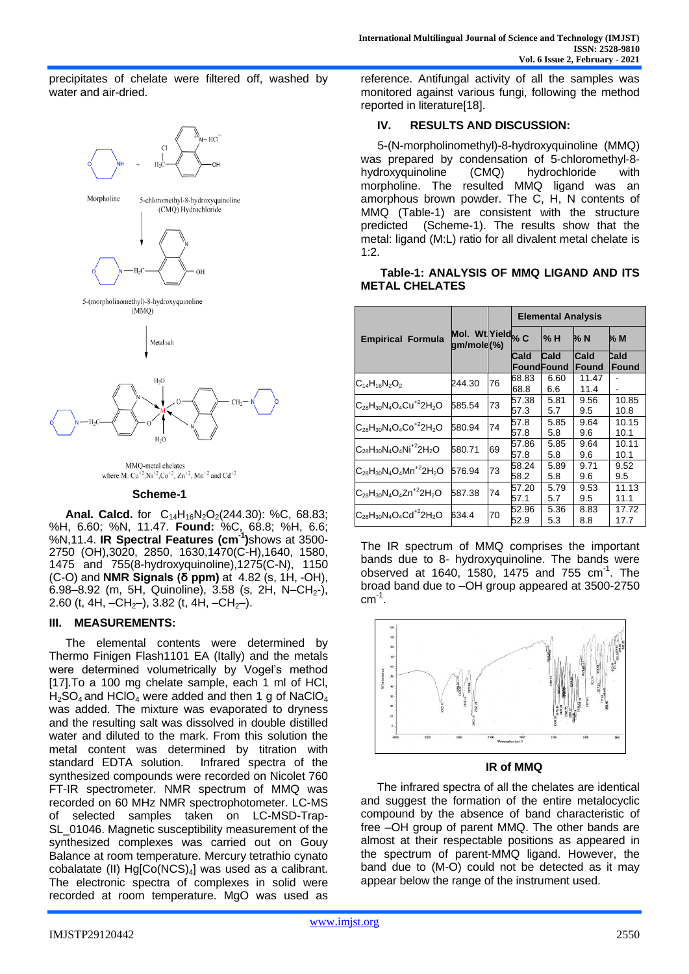precipitates of chelate were filtered off, washed by water and air-dried.



MMO-metal chelates where M:  $Cu^{+2}$ , Ni<sup>+2</sup>, Co<sup>+2</sup>, Zn<sup>+2</sup>, Mn<sup>+2</sup> and Cd<sup>+2</sup>

#### **Scheme-1**

**Anal. Calcd.** for  $C_{14}H_{16}N_2O_2(244.30)$ : %C, 68.83; %H, 6.60; %N, 11.47. **Found:** %C, 68.8; %H, 6.6; %N,11.4. **IR Spectral Features (cm-1 )**shows at 3500- 2750 (OH),3020, 2850, 1630,1470(C-H),1640, 1580, 1475 and 755(8-hydroxyquinoline),1275(C-N), 1150 (C-O) and **NMR Signals (δ ppm)** at 4.82 (s, 1H, -OH),  $6.98-8.92$  (m, 5H, Quinoline),  $3.58$  (s, 2H, N–CH<sub>2</sub>-), 2.60 (t, 4H,  $-CH_{2}$ ), 3.82 (t, 4H,  $-CH_{2}$ ).

#### **III. MEASUREMENTS:**

The elemental contents were determined by Thermo Finigen Flash1101 EA (Itally) and the metals were determined volumetrically by Vogel's method [17].To a 100 mg chelate sample, each 1 ml of HCl,  $H<sub>2</sub>SO<sub>4</sub>$  and HClO<sub>4</sub> were added and then 1 g of NaClO<sub>4</sub> was added. The mixture was evaporated to dryness and the resulting salt was dissolved in double distilled water and diluted to the mark. From this solution the metal content was determined by titration with standard EDTA solution. Infrared spectra of the synthesized compounds were recorded on Nicolet 760 FT-IR spectrometer. NMR spectrum of MMQ was recorded on 60 MHz NMR spectrophotometer. LC-MS of selected samples taken on LC-MSD-Trap-SL\_01046. Magnetic susceptibility measurement of the synthesized complexes was carried out on Gouy Balance at room temperature. Mercury tetrathio cynato cobalatate (II) Hg[Co(NCS)<sub>4</sub>] was used as a calibrant. The electronic spectra of complexes in solid were recorded at room temperature. MgO was used as

reference. Antifungal activity of all the samples was monitored against various fungi, following the method reported in literature[18].

# **IV. RESULTS AND DISCUSSION:**

5-(N-morpholinomethyl)-8-hydroxyquinoline (MMQ) was prepared by condensation of 5-chloromethyl-8 hydroxyquinoline (CMQ) hydrochloride with morpholine. The resulted MMQ ligand was an amorphous brown powder. The C, H, N contents of MMQ (Table-1) are consistent with the structure predicted (Scheme-1). The results show that the metal: ligand (M:L) ratio for all divalent metal chelate is 1:2.

#### **Table-1: ANALYSIS OF MMQ LIGAND AND ITS METAL CHELATES**

|                                  | Mol. Wt Yield <sub>% C</sub><br>gm/mole(%) |    | <b>Elemental Analysis</b> |                   |       |       |
|----------------------------------|--------------------------------------------|----|---------------------------|-------------------|-------|-------|
| <b>Empirical Formula</b>         |                                            |    |                           | % H               | % N   | % M   |
|                                  |                                            |    | Cald                      | Cald              | Cald  | Cald  |
|                                  |                                            |    |                           | <b>FoundFound</b> | Found | Found |
| $C_{14}H_{16}N_2O_2$             | 244.30                                     | 76 | 68.83                     | 6.60              | 11.47 |       |
|                                  |                                            |    | 68.8                      | 6.6               | 11.4  |       |
| $C_{28}H_{30}N_4O_4Cu^{+2}2H_2O$ | 585.54                                     | 73 | 57.38                     | 5.81              | 9.56  | 10.85 |
|                                  |                                            |    | 57.3                      | 5.7               | 9.5   | 10.8  |
| $C_{28}H_{30}N_4O_4CO^{+2}2H_2O$ | 580.94                                     | 74 | 57.8                      | 5.85              | 9.64  | 10.15 |
|                                  |                                            |    | 57.8                      | 5.8               | 9.6   | 10.1  |
| $C_{28}H_{30}N_4O_4Ni^{+2}2H_2O$ | 580.71                                     | 69 | 57.86                     | 5.85              | 9.64  | 10.11 |
|                                  |                                            |    | 57.8                      | 5.8               | 9.6   | 10.1  |
| $C_{28}H_{30}N_4O_4Mn^{+2}2H_2O$ | 576.94                                     | 73 | 58.24                     | 5.89              | 9.71  | 9.52  |
|                                  |                                            |    | 58.2                      | 5.8               | 9.6   | 9.5   |
| $C_{28}H_{30}N_4O_4Zn^{+2}2H_2O$ | 587.38                                     | 74 | 57.20                     | 5.79              | 9.53  | 11.13 |
|                                  |                                            |    | 57.1                      | 5.7               | 9.5   | 11.1  |
| $C_{28}H_{30}N_4O_4Cd^{+2}2H_2O$ | 634.4                                      | 70 | 52.96                     | 5.36              | 8.83  | 17.72 |
|                                  |                                            |    | 52.9                      | 5.3               | 8.8   | 17.7  |

The IR spectrum of MMQ comprises the important bands due to 8- hydroxyquinoline. The bands were observed at  $1640, 1580, 1475$  and  $755$  cm<sup>-1</sup>. The broad band due to –OH group appeared at 3500-2750  $cm^{-1}$ .



#### **IR of MMQ**

The infrared spectra of all the chelates are identical and suggest the formation of the entire metalocyclic compound by the absence of band characteristic of free –OH group of parent MMQ. The other bands are almost at their respectable positions as appeared in the spectrum of parent-MMQ ligand. However, the band due to (M-O) could not be detected as it may appear below the range of the instrument used.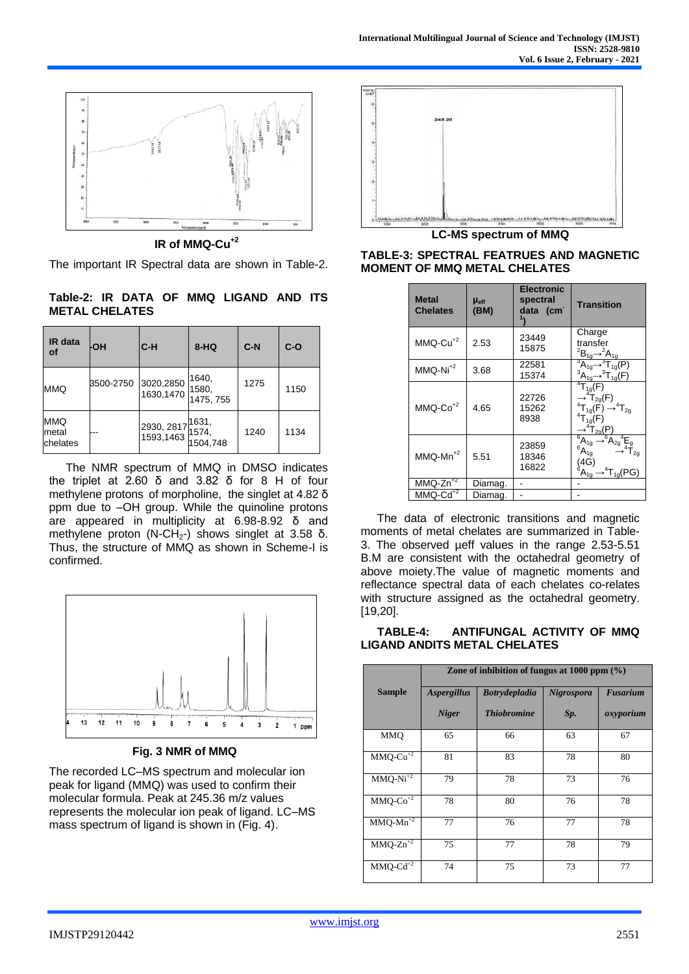

**IR of MMQ-Cu+2**

The important IR Spectral data are shown in Table-2.

**Table-2: IR DATA OF MMQ LIGAND AND ITS METAL CHELATES**

| IR data<br><b>of</b>            | ŀОH       | C-H                                                                                 | 8-HQ                        | $C-N$ | $C-O$ |
|---------------------------------|-----------|-------------------------------------------------------------------------------------|-----------------------------|-------|-------|
| <b>MMQ</b>                      | 3500-2750 | 3020,2850<br>1630,1470                                                              | 1640,<br>1580,<br>1475, 755 | 1275  | 1150  |
| <b>MMQ</b><br>metal<br>chelates |           | $\frac{12930}{1522}$ , 2817 $\frac{1631}{1574}$<br>2930, 2817<br>1593,1463 1504,748 |                             | 1240  | 1134  |

The NMR spectrum of MMQ in DMSO indicates the triplet at 2.60 δ and 3.82 δ for 8 H of four methylene protons of morpholine, the singlet at 4.82 δ ppm due to –OH group. While the quinoline protons are appeared in multiplicity at 6.98-8.92 δ and methylene proton (N-CH<sub>2</sub>-) shows singlet at 3.58 δ. Thus, the structure of MMQ as shown in Scheme-I is confirmed.



**Fig. 3 NMR of MMQ**

The recorded LC–MS spectrum and molecular ion peak for ligand (MMQ) was used to confirm their molecular formula. Peak at 245.36 m/z values represents the molecular ion peak of ligand. LC–MS mass spectrum of ligand is shown in (Fig. 4).



**LC-MS spectrum of MMQ**

| <b>Metal</b><br><b>Chelates</b> | $\mu_{\text{eff}}$<br>(BM) | <b>Electronic</b><br>spectral<br>data (cm | <b>Transition</b>                                                                                                                                                                                                                                                                      |
|---------------------------------|----------------------------|-------------------------------------------|----------------------------------------------------------------------------------------------------------------------------------------------------------------------------------------------------------------------------------------------------------------------------------------|
| $MMO$ -Cu <sup>+2</sup>         | 2.53                       | 23449<br>15875                            | Charge<br>transfer<br>${}^2B_{1g} \rightarrow {}^2A_{1g}$                                                                                                                                                                                                                              |
| $MMO-Ni^{+2}$                   | 3.68                       | 22581<br>15374                            | $A_{1g} \rightarrow A_{1g}(P)$<br>${}^3A_{1g} \rightarrow {}^3T_{1g}(F)$                                                                                                                                                                                                               |
| $MMO$ - $Co$ <sup>+2</sup>      | 4.65                       | 22726<br>15262<br>8938                    | ${}^{4}T_{1g}(F)$<br>$\rightarrow$ <sup>4</sup> T <sub>2g</sub> (F)<br><sup>4</sup> T <sub>1g</sub> (F) $\rightarrow$ <sup>4</sup> T <sub>2g</sub><br>${}^{4}T_{19}(F)$<br>$\rightarrow$ <sup>4</sup> T <sub>2g</sub> (P                                                               |
| $MMQ-Mn^{+2}$                   | 5.51                       | 23859<br>18346<br>16822                   | $\begin{array}{c}\n\rightarrow^4 \text{T}_{2g}(\mathbf{r}\,)\\ \n\overline{}^6\text{A}_{1g} \rightarrow^6 \text{A}_{2g}{}^4\overline{\text{E}}_g\\ \n\rightarrow^4 \text{T}_{2g}\n\end{array}$<br>${}^6A_{1g}$<br>(4G)<br>${}^{6}A_{19}$<br>$\Gamma_{1\alpha}(\overline{\mathrm{PG}})$ |
| $MMQ-Zn^{2}$                    | Diamag.                    |                                           |                                                                                                                                                                                                                                                                                        |
| $MMO$ - $Cd$ <sup>+2</sup>      | Diamag.                    |                                           |                                                                                                                                                                                                                                                                                        |

**TABLE-3: SPECTRAL FEATRUES AND MAGNETIC MOMENT OF MMQ METAL CHELATES**

The data of electronic transitions and magnetic moments of metal chelates are summarized in Table-3. The observed µeff values in the range 2.53-5.51 B.M are consistent with the octahedral geometry of above moiety.The value of magnetic moments and reflectance spectral data of each chelates co-relates with structure assigned as the octahedral geometry. [19,20].

| TABLE-4:                            | ANTIFUNGAL ACTIVITY OF MMQ |  |  |
|-------------------------------------|----------------------------|--|--|
| <b>LIGAND ANDITS METAL CHELATES</b> |                            |  |  |

|                            | Zone of inhibition of fungus at $1000$ ppm $(\%)$ |                      |                   |                 |  |
|----------------------------|---------------------------------------------------|----------------------|-------------------|-----------------|--|
| <b>Sample</b>              | <b>Aspergillus</b>                                | <b>Botrydepladia</b> | <b>Nigrospora</b> | <b>Fusarium</b> |  |
|                            | <b>Niger</b>                                      | <b>Thiobromine</b>   | Sp.               | oxyporium       |  |
| <b>MMO</b>                 | 65                                                | 66                   | 63                | 67              |  |
| $MMQ-Cu^{+2}$              | 81                                                | 83                   | 78                | 80              |  |
| $MMQ-Ni^{2}$               | 79                                                | 78                   | 73                | 76              |  |
| $MMQ$ - $Co^{+2}$          | 78                                                | 80                   | 76                | 78              |  |
| $MMQ-Mn^{2}$               | 77                                                | 76                   | 77                | 78              |  |
| $MMQ-Zn^{+2}$              | 75                                                | 77                   | 78                | 79              |  |
| $MMO$ - $Cd$ <sup>+2</sup> | 74                                                | 75                   | 73                | 77              |  |